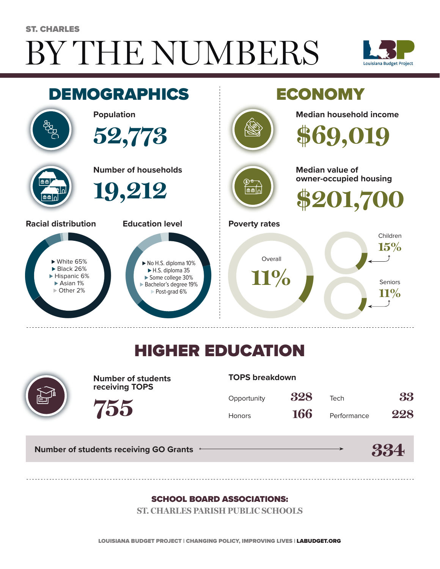# BY THE NUMBERS ST. CHARLES





## HIGHER EDUCATION



**Number of students receiving TOPS**

#### **TOPS breakdown**

| Opportunity   | 328 | Tech        | 33  |
|---------------|-----|-------------|-----|
| <b>Honors</b> | 166 | Performance | 228 |

**Number of students receiving GO Grants**

**755**



#### SCHOOL BOARD ASSOCIATIONS:

**ST. CHARLES PARISH PUBLIC SCHOOLS**